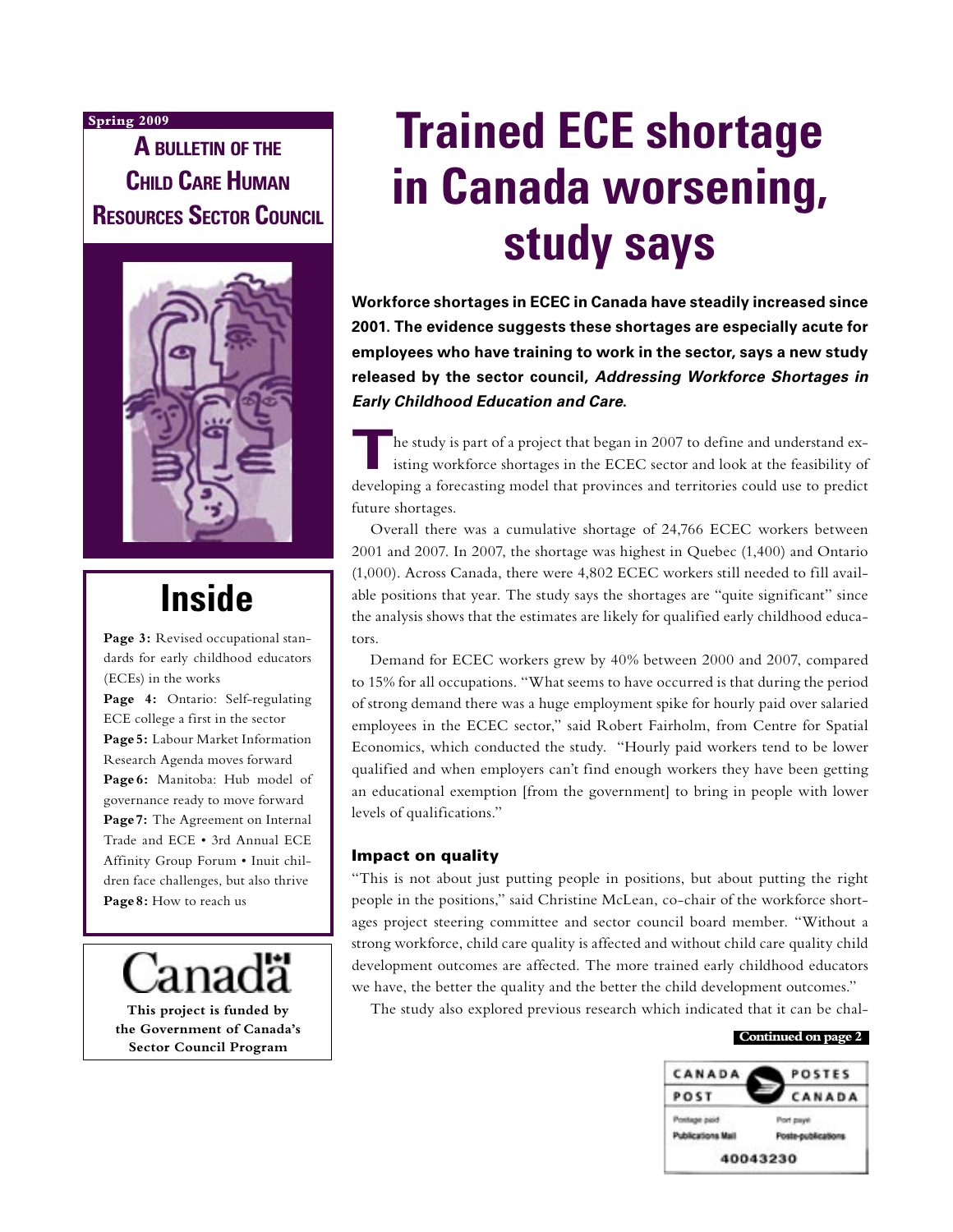#### **Spring 2009**

**A BULLETIN OF THE CHILD CARE HUMAN RESOURCES SECTOR COUNCIL**



# **Inside**

Page 3: Revised occupational standards for early childhood educators (ECEs) in the works

**Page 4:** Ontario: Self-regulating ECE college a first in the sector **Page 5:** Labour Market Information Research Agenda moves forward **Page 6:** Manitoba: Hub model of governance ready to move forward **Page 7:** The Agreement on Internal Trade and ECE • 3rd Annual ECE Affinity Group Forum • Inuit children face challenges, but also thrive **Page 8:** How to reach us

**This project is funded by**

**the Government of Canada's Sector Council Program**

# **Trained ECE shortage in Canada worsening, study says**

**Workforce shortages in ECEC in Canada have steadily increased since 2001. The evidence suggests these shortages are especially acute for employees who have training to work in the sector, says a new study released by the sector council, Addressing Workforce Shortages in Early Childhood Education and Care.** 

**T**he study is part of a project that began in 2007 to define and understand existing workforce shortages in the ECEC sector and look at the feasibility of developing a forecasting model that provinces and territories could use to predict future shortages.

Overall there was a cumulative shortage of 24,766 ECEC workers between 2001 and 2007. In 2007, the shortage was highest in Quebec (1,400) and Ontario (1,000). Across Canada, there were 4,802 ECEC workers still needed to fill available positions that year. The study says the shortages are "quite significant" since the analysis shows that the estimates are likely for qualified early childhood educators.

Demand for ECEC workers grew by 40% between 2000 and 2007, compared to 15% for all occupations. "What seems to have occurred is that during the period of strong demand there was a huge employment spike for hourly paid over salaried employees in the ECEC sector," said Robert Fairholm, from Centre for Spatial Economics, which conducted the study. "Hourly paid workers tend to be lower qualified and when employers can't find enough workers they have been getting an educational exemption [from the government] to bring in people with lower levels of qualifications."

#### Impact on quality

"This is not about just putting people in positions, but about putting the right people in the positions," said Christine McLean, co-chair of the workforce shortages project steering committee and sector council board member. "Without a strong workforce, child care quality is affected and without child care quality child development outcomes are affected. The more trained early childhood educators we have, the better the quality and the better the child development outcomes."

The study also explored previous research which indicated that it can be chal-

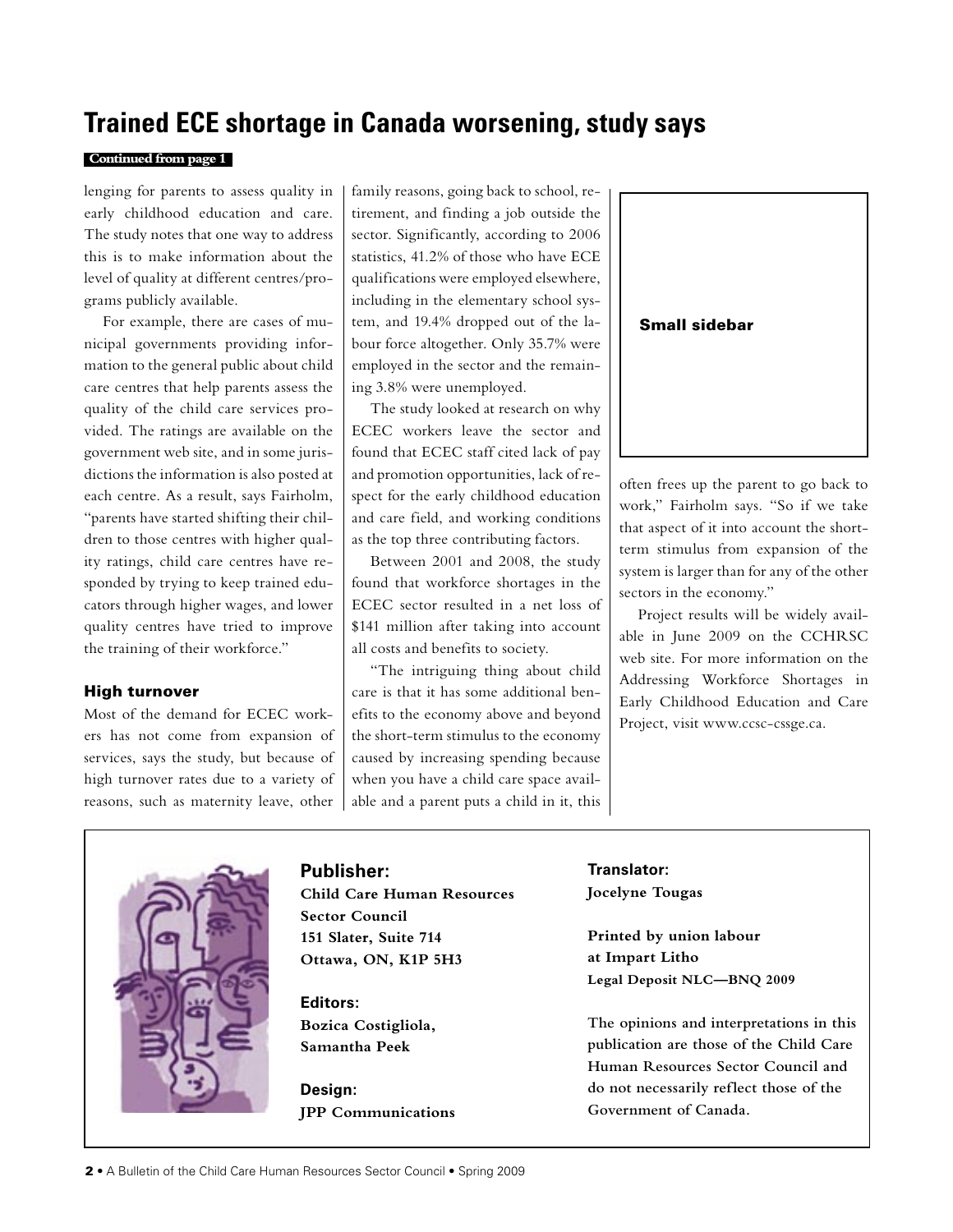### **Trained ECE shortage in Canada worsening, study says**

#### **Continued from page 1**

lenging for parents to assess quality in early childhood education and care. The study notes that one way to address this is to make information about the level of quality at different centres/programs publicly available.

For example, there are cases of municipal governments providing information to the general public about child care centres that help parents assess the quality of the child care services provided. The ratings are available on the government web site, and in some jurisdictions the information is also posted at each centre. As a result, says Fairholm, "parents have started shifting their children to those centres with higher quality ratings, child care centres have responded by trying to keep trained educators through higher wages, and lower quality centres have tried to improve the training of their workforce."

#### High turnover

Most of the demand for ECEC workers has not come from expansion of services, says the study, but because of high turnover rates due to a variety of reasons, such as maternity leave, other family reasons, going back to school, retirement, and finding a job outside the sector. Significantly, according to 2006 statistics, 41.2% of those who have ECE qualifications were employed elsewhere, including in the elementary school system, and 19.4% dropped out of the labour force altogether. Only 35.7% were employed in the sector and the remaining 3.8% were unemployed.

The study looked at research on why ECEC workers leave the sector and found that ECEC staff cited lack of pay and promotion opportunities, lack of respect for the early childhood education and care field, and working conditions as the top three contributing factors.

Between 2001 and 2008, the study found that workforce shortages in the ECEC sector resulted in a net loss of \$141 million after taking into account all costs and benefits to society.

"The intriguing thing about child care is that it has some additional benefits to the economy above and beyond the short-term stimulus to the economy caused by increasing spending because when you have a child care space available and a parent puts a child in it, this



often frees up the parent to go back to work," Fairholm says. "So if we take that aspect of it into account the shortterm stimulus from expansion of the system is larger than for any of the other sectors in the economy."

Project results will be widely available in June 2009 on the CCHRSC web site. For more information on the Addressing Workforce Shortages in Early Childhood Education and Care Project, visit www.ccsc-cssge.ca.



#### **Publisher:**

**Child Care Human Resources Sector Council 151 Slater, Suite 714 Ottawa, ON, K1P 5H3**

**Editors: Bozica Costigliola, Samantha Peek**

**Design: JPP Communications**

**Translator: Jocelyne Tougas**

**Printed by union labour at Impart Litho Legal Deposit NLC—BNQ 2009**

**The opinions and interpretations in this publication are those of the Child Care Human Resources Sector Council and do not necessarily reflect those of the Government of Canada.**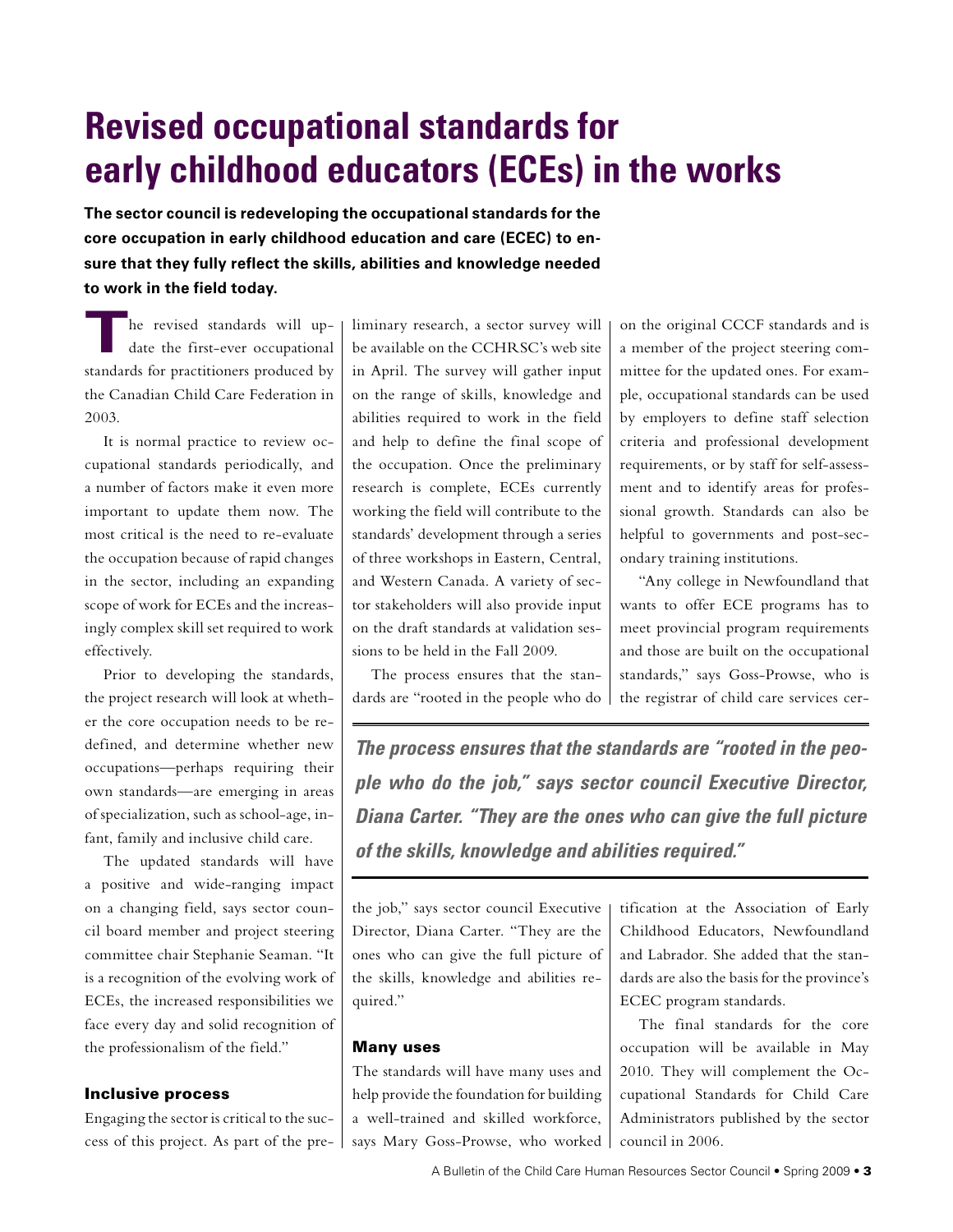# **Revised occupational standards for early childhood educators (ECEs) in the works**

**The sector council is redeveloping the occupational standards for the core occupation in early childhood education and care (ECEC) to ensure that they fully reflect the skills, abilities and knowledge needed to work in the field today.**

**T**he revised standards will update the first-ever occupational standards for practitioners produced by the Canadian Child Care Federation in 2003.

It is normal practice to review occupational standards periodically, and a number of factors make it even more important to update them now. The most critical is the need to re-evaluate the occupation because of rapid changes in the sector, including an expanding scope of work for ECEs and the increasingly complex skill set required to work effectively.

Prior to developing the standards, the project research will look at whether the core occupation needs to be redefined, and determine whether new occupations—perhaps requiring their own standards—are emerging in areas of specialization, such as school-age, infant, family and inclusive child care.

The updated standards will have a positive and wide-ranging impact on a changing field, says sector council board member and project steering committee chair Stephanie Seaman. "It is a recognition of the evolving work of ECEs, the increased responsibilities we face every day and solid recognition of the professionalism of the field."

#### Inclusive process

Engaging the sector is critical to the success of this project. As part of the preliminary research, a sector survey will be available on the CCHRSC's web site in April. The survey will gather input on the range of skills, knowledge and abilities required to work in the field and help to define the final scope of the occupation. Once the preliminary research is complete, ECEs currently working the field will contribute to the standards' development through a series of three workshops in Eastern, Central, and Western Canada. A variety of sector stakeholders will also provide input on the draft standards at validation sessions to be held in the Fall 2009.

The process ensures that the standards are "rooted in the people who do on the original CCCF standards and is a member of the project steering committee for the updated ones. For example, occupational standards can be used by employers to define staff selection criteria and professional development requirements, or by staff for self-assessment and to identify areas for professional growth. Standards can also be helpful to governments and post-secondary training institutions.

"Any college in Newfoundland that wants to offer ECE programs has to meet provincial program requirements and those are built on the occupational standards," says Goss-Prowse, who is the registrar of child care services cer-

**The process ensures that the standards are "rooted in the people who do the job," says sector council Executive Director, Diana Carter. "They are the ones who can give the full picture of the skills, knowledge and abilities required."**

the job," says sector council Executive Director, Diana Carter. "They are the ones who can give the full picture of the skills, knowledge and abilities required."

#### Many uses

The standards will have many uses and help provide the foundation for building a well-trained and skilled workforce, says Mary Goss-Prowse, who worked tification at the Association of Early Childhood Educators, Newfoundland and Labrador. She added that the standards are also the basis for the province's ECEC program standards.

The final standards for the core occupation will be available in May 2010. They will complement the Occupational Standards for Child Care Administrators published by the sector council in 2006.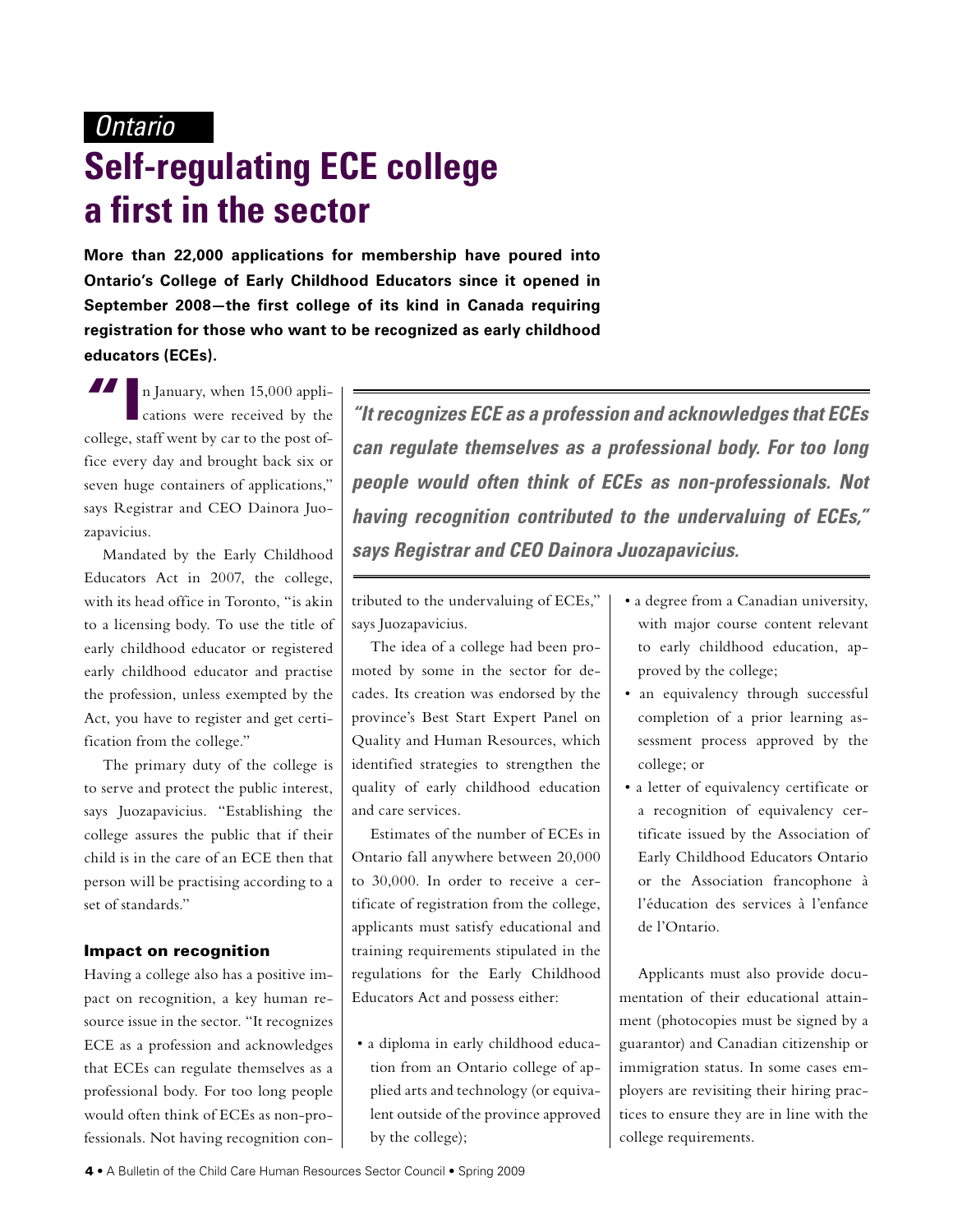### **Ontario**

# **Self-regulating ECE college a first in the sector**

**More than 22,000 applications for membership have poured into Ontario's College of Early Childhood Educators since it opened in September 2008—the first college of its kind in Canada requiring registration for those who want to be recognized as early childhood educators (ECEs).**

**"I**n January, when 15,000 applications were received by the college, staff went by car to the post office every day and brought back six or seven huge containers of applications," says Registrar and CEO Dainora Juozapavicius.

Mandated by the Early Childhood Educators Act in 2007, the college, with its head office in Toronto, "is akin to a licensing body. To use the title of early childhood educator or registered early childhood educator and practise the profession, unless exempted by the Act, you have to register and get certification from the college."

The primary duty of the college is to serve and protect the public interest, says Juozapavicius. "Establishing the college assures the public that if their child is in the care of an ECE then that person will be practising according to a set of standards."

#### Impact on recognition

Having a college also has a positive impact on recognition, a key human resource issue in the sector. "It recognizes ECE as a profession and acknowledges that ECEs can regulate themselves as a professional body. For too long people would often think of ECEs as non-professionals. Not having recognition con-

**"It recognizes ECE as a profession and acknowledges that ECEs can regulate themselves as a professional body. For too long people would often think of ECEs as non-professionals. Not having recognition contributed to the undervaluing of ECEs," says Registrar and CEO Dainora Juozapavicius.**

tributed to the undervaluing of ECEs," says Juozapavicius.

The idea of a college had been promoted by some in the sector for decades. Its creation was endorsed by the province's Best Start Expert Panel on Quality and Human Resources, which identified strategies to strengthen the quality of early childhood education and care services.

Estimates of the number of ECEs in Ontario fall anywhere between 20,000 to 30,000. In order to receive a certificate of registration from the college, applicants must satisfy educational and training requirements stipulated in the regulations for the Early Childhood Educators Act and possess either:

• a diploma in early childhood education from an Ontario college of applied arts and technology (or equivalent outside of the province approved by the college);

- a degree from a Canadian university, with major course content relevant to early childhood education, approved by the college;
- an equivalency through successful completion of a prior learning assessment process approved by the college; or
- a letter of equivalency certificate or a recognition of equivalency certificate issued by the Association of Early Childhood Educators Ontario or the Association francophone à l'éducation des services à l'enfance de l'Ontario.

Applicants must also provide documentation of their educational attainment (photocopies must be signed by a guarantor) and Canadian citizenship or immigration status. In some cases employers are revisiting their hiring practices to ensure they are in line with the college requirements.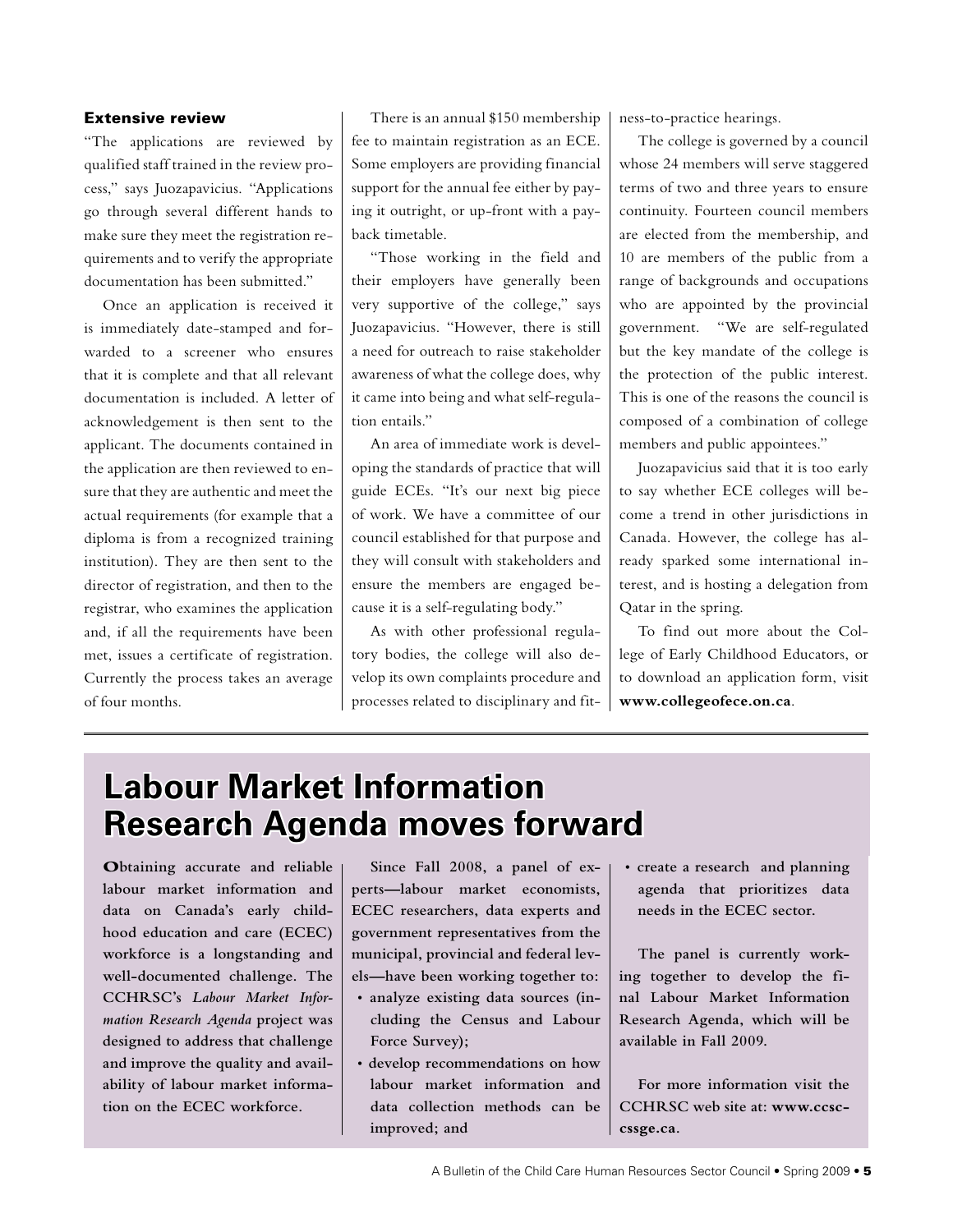#### Extensive review

"The applications are reviewed by qualified staff trained in the review process," says Juozapavicius. "Applications go through several different hands to make sure they meet the registration requirements and to verify the appropriate documentation has been submitted."

Once an application is received it is immediately date-stamped and forwarded to a screener who ensures that it is complete and that all relevant documentation is included. A letter of acknowledgement is then sent to the applicant. The documents contained in the application are then reviewed to ensure that they are authentic and meet the actual requirements (for example that a diploma is from a recognized training institution). They are then sent to the director of registration, and then to the registrar, who examines the application and, if all the requirements have been met, issues a certificate of registration. Currently the process takes an average of four months.

There is an annual \$150 membership fee to maintain registration as an ECE. Some employers are providing financial support for the annual fee either by paying it outright, or up-front with a payback timetable.

"Those working in the field and their employers have generally been very supportive of the college," says Juozapavicius. "However, there is still a need for outreach to raise stakeholder awareness of what the college does, why it came into being and what self-regulation entails."

An area of immediate work is developing the standards of practice that will guide ECEs. "It's our next big piece of work. We have a committee of our council established for that purpose and they will consult with stakeholders and ensure the members are engaged because it is a self-regulating body."

As with other professional regulatory bodies, the college will also develop its own complaints procedure and processes related to disciplinary and fitness-to-practice hearings.

The college is governed by a council whose 24 members will serve staggered terms of two and three years to ensure continuity. Fourteen council members are elected from the membership, and 10 are members of the public from a range of backgrounds and occupations who are appointed by the provincial government. "We are self-regulated but the key mandate of the college is the protection of the public interest. This is one of the reasons the council is composed of a combination of college members and public appointees."

Juozapavicius said that it is too early to say whether ECE colleges will become a trend in other jurisdictions in Canada. However, the college has already sparked some international interest, and is hosting a delegation from Qatar in the spring.

To find out more about the College of Early Childhood Educators, or to download an application form, visit **www.collegeofece.on.ca**.

# **Labour Market Information Research Agenda moves forward**

**Obtaining accurate and reliable labour market information and data on Canada's early childhood education and care (ECEC) workforce is a longstanding and well-documented challenge. The CCHRSC's** *Labour Market Information Research Agenda* **project was designed to address that challenge and improve the quality and availability of labour market information on the ECEC workforce.** 

**Since Fall 2008, a panel of experts—labour market economists, ECEC researchers, data experts and government representatives from the municipal, provincial and federal levels—have been working together to:**

- **analyze existing data sources (including the Census and Labour Force Survey);**
- **develop recommendations on how labour market information and data collection methods can be improved; and**

**• create a research and planning agenda that prioritizes data needs in the ECEC sector.**

**The panel is currently working together to develop the final Labour Market Information Research Agenda, which will be available in Fall 2009.** 

**For more information visit the CCHRSC web site at: www.ccsccssge.ca.**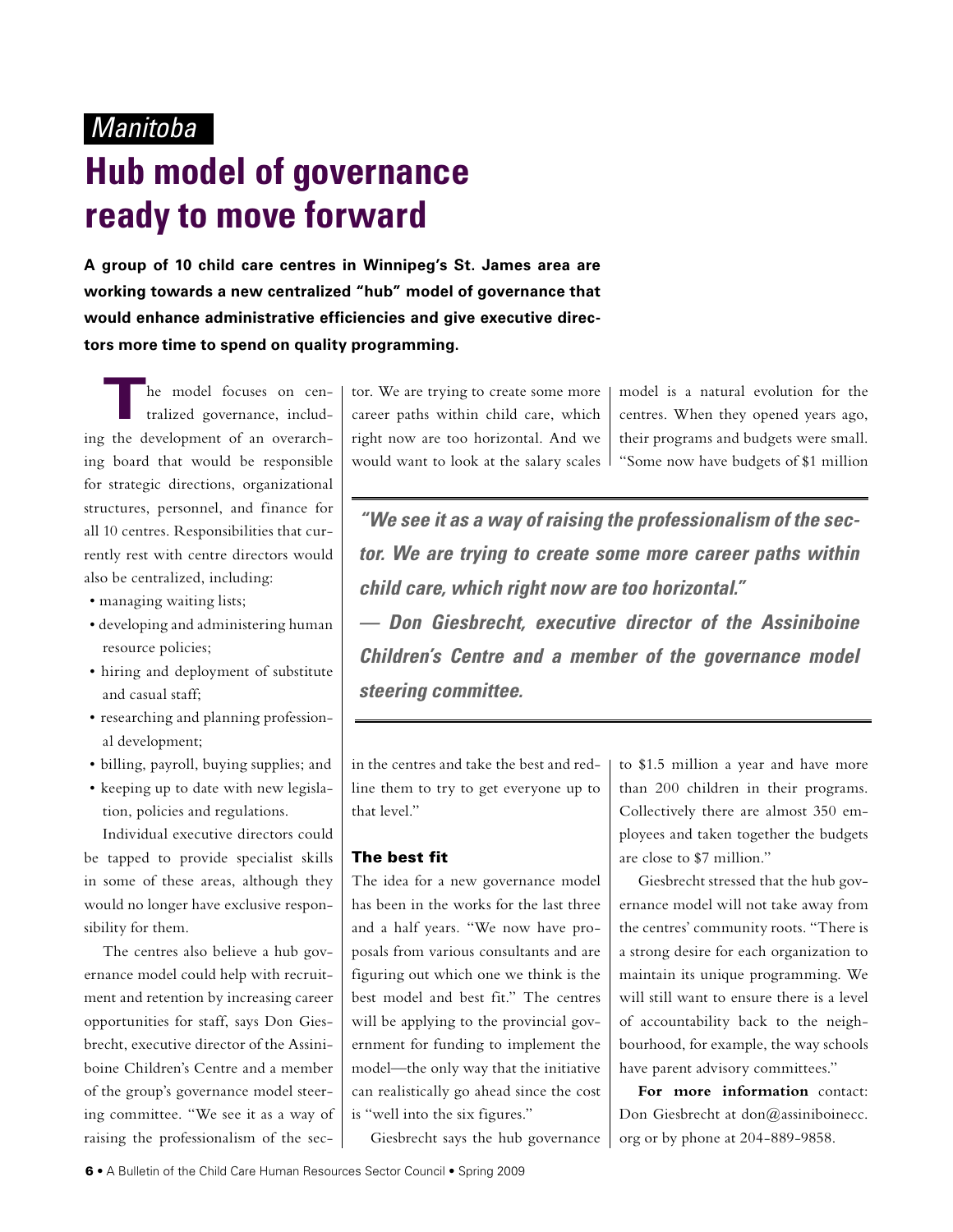### Manitoba

# **Hub model of governance ready to move forward**

**A group of 10 child care centres in Winnipeg's St. James area are working towards a new centralized "hub" model of governance that would enhance administrative efficiencies and give executive directors more time to spend on quality programming.**

The model focuses on cen-<br>tralized governance, including the development of an overarching board that would be responsible for strategic directions, organizational structures, personnel, and finance for all 10 centres. Responsibilities that currently rest with centre directors would also be centralized, including:

- managing waiting lists;
- developing and administering human resource policies;
- hiring and deployment of substitute and casual staff;
- researching and planning professional development;
- billing, payroll, buying supplies; and
- keeping up to date with new legislation, policies and regulations.

Individual executive directors could be tapped to provide specialist skills in some of these areas, although they would no longer have exclusive responsibility for them.

The centres also believe a hub governance model could help with recruitment and retention by increasing career opportunities for staff, says Don Giesbrecht, executive director of the Assiniboine Children's Centre and a member of the group's governance model steering committee. "We see it as a way of raising the professionalism of the sector. We are trying to create some more career paths within child care, which right now are too horizontal. And we would want to look at the salary scales model is a natural evolution for the centres. When they opened years ago, their programs and budgets were small. "Some now have budgets of \$1 million

**"We see it as a way of raising the professionalism of the sector. We are trying to create some more career paths within child care, which right now are too horizontal." — Don Giesbrecht, executive director of the Assiniboine Children's Centre and a member of the governance model steering committee.**

in the centres and take the best and redline them to try to get everyone up to that level."

#### The best fit

The idea for a new governance model has been in the works for the last three and a half years. "We now have proposals from various consultants and are figuring out which one we think is the best model and best fit." The centres will be applying to the provincial government for funding to implement the model—the only way that the initiative can realistically go ahead since the cost is "well into the six figures."

Giesbrecht says the hub governance

to \$1.5 million a year and have more than 200 children in their programs. Collectively there are almost 350 employees and taken together the budgets are close to \$7 million."

Giesbrecht stressed that the hub governance model will not take away from the centres' community roots. "There is a strong desire for each organization to maintain its unique programming. We will still want to ensure there is a level of accountability back to the neighbourhood, for example, the way schools have parent advisory committees."

**For more information** contact: Don Giesbrecht at don@assiniboinecc. org or by phone at 204-889-9858.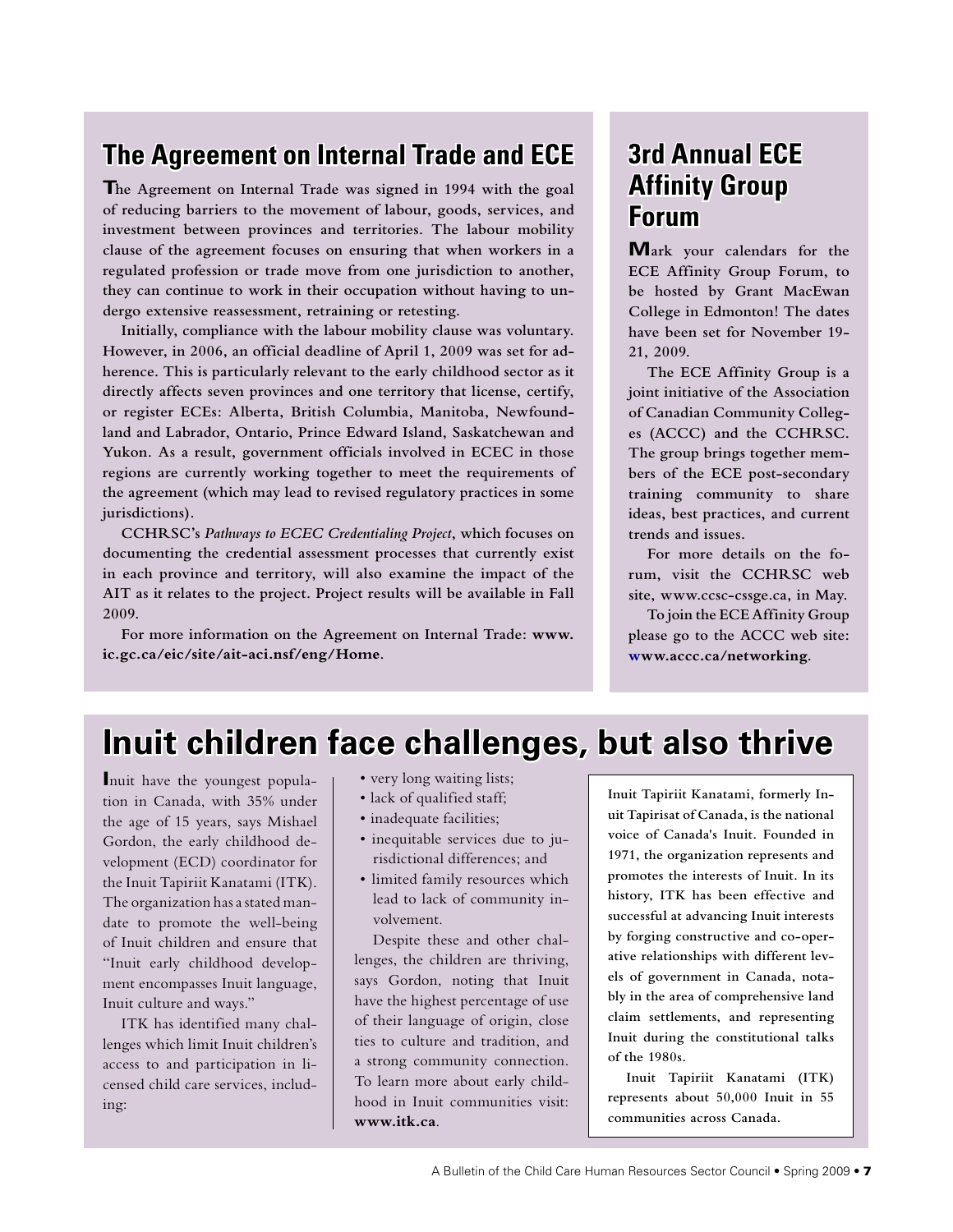## **The Agreement on Internal Trade and ECE**

**The Agreement on Internal Trade was signed in 1994 with the goal of reducing barriers to the movement of labour, goods, services, and investment between provinces and territories. The labour mobility clause of the agreement focuses on ensuring that when workers in a regulated profession or trade move from one jurisdiction to another, they can continue to work in their occupation without having to undergo extensive reassessment, retraining or retesting.**

**Initially, compliance with the labour mobility clause was voluntary. However, in 2006, an official deadline of April 1, 2009 was set for adherence. This is particularly relevant to the early childhood sector as it directly affects seven provinces and one territory that license, certify, or register ECEs: Alberta, British Columbia, Manitoba, Newfoundland and Labrador, Ontario, Prince Edward Island, Saskatchewan and Yukon. As a result, government officials involved in ECEC in those regions are currently working together to meet the requirements of the agreement (which may lead to revised regulatory practices in some jurisdictions).**

**CCHRSC's** *Pathways to ECEC Credentialing Project***, which focuses on documenting the credential assessment processes that currently exist in each province and territory, will also examine the impact of the AIT as it relates to the project. Project results will be available in Fall 2009.**

**For more information on the Agreement on Internal Trade: www. ic.gc.ca/eic/site/ait-aci.nsf/eng/Home.**

### **3rd Annual ECE Affinity Group Forum**

**Mark your calendars for the ECE Affinity Group Forum, to be hosted by Grant MacEwan College in Edmonton! The dates have been set for November 19- 21, 2009.**

**The ECE Affinity Group is a joint initiative of the Association of Canadian Community Colleges (ACCC) and the CCHRSC. The group brings together members of the ECE post-secondary training community to share ideas, best practices, and current trends and issues.**

**For more details on the forum, visit the CCHRSC web site, www.ccsc-cssge.ca, in May.**

**To join the ECE Affinity Group please go to the ACCC web site: www.accc.ca/networking.**

## **Inuit children face challenges, but also thrive**

**I**nuit have the youngest population in Canada, with 35% under the age of 15 years, says Mishael Gordon, the early childhood development (ECD) coordinator for the Inuit Tapiriit Kanatami (ITK). The organization has a stated mandate to promote the well-being of Inuit children and ensure that "Inuit early childhood development encompasses Inuit language, Inuit culture and ways."

ITK has identified many challenges which limit Inuit children's access to and participation in licensed child care services, including:

- very long waiting lists;
- lack of qualified staff;
- inadequate facilities;
- inequitable services due to jurisdictional differences; and
- limited family resources which lead to lack of community involvement.

Despite these and other challenges, the children are thriving, says Gordon, noting that Inuit have the highest percentage of use of their language of origin, close ties to culture and tradition, and a strong community connection. To learn more about early childhood in Inuit communities visit: **www.itk.ca**.

**Inuit Tapiriit Kanatami, formerly Inuit Tapirisat of Canada, is the national voice of Canada's Inuit. Founded in 1971, the organization represents and promotes the interests of Inuit. In its history, ITK has been effective and successful at advancing Inuit interests by forging constructive and co-operative relationships with different levels of government in Canada, notably in the area of comprehensive land claim settlements, and representing Inuit during the constitutional talks of the 1980s.**

**Inuit Tapiriit Kanatami (ITK) represents about 50,000 Inuit in 55 communities across Canada.**